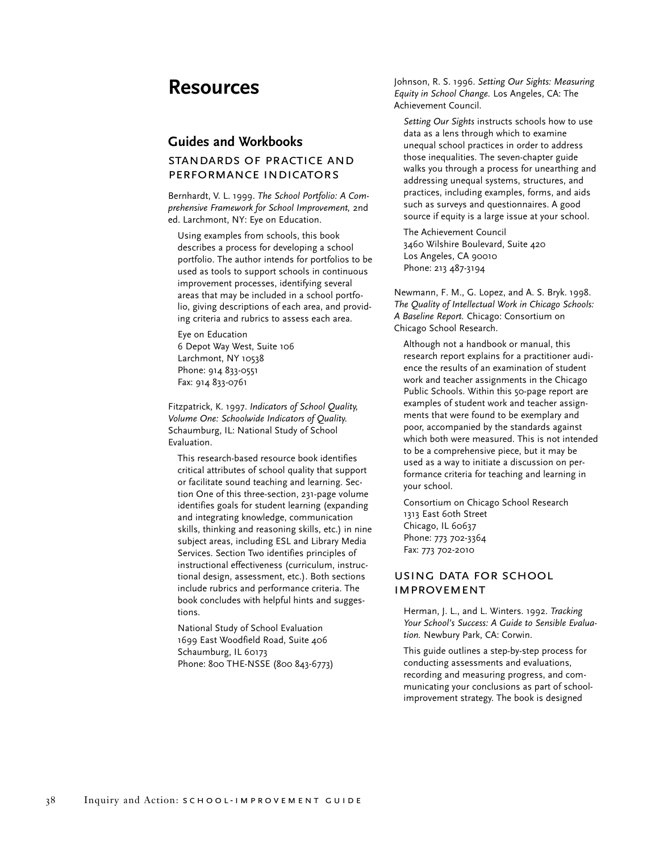# **Resources**

### **Guides and Workbooks**

## standards of practice and performance indicators

Bernhardt, V. L. 1999. *The School Portfolio: A Comprehensive Framework for School Improvement,* 2nd ed. Larchmont, NY: Eye on Education.

Using examples from schools, this book describes a process for developing a school portfolio. The author intends for portfolios to be used as tools to support schools in continuous improvement processes, identifying several areas that may be included in a school portfolio, giving descriptions of each area, and providing criteria and rubrics to assess each area.

Eye on Education 6 Depot Way West, Suite 106 Larchmont, NY 10538 Phone: 914 833-0551 Fax: 914 833-0761

Fitzpatrick, K. 1997. *Indicators of School Quality, Volume One: Schoolwide Indicators of Quality.* Schaumburg, IL: National Study of School Evaluation.

This research-based resource book identifies critical attributes of school quality that support or facilitate sound teaching and learning. Section One of this three-section, 231-page volume identifies goals for student learning (expanding and integrating knowledge, communication skills, thinking and reasoning skills, etc.) in nine subject areas, including ESL and Library Media Services. Section Two identifies principles of instructional effectiveness (curriculum, instructional design, assessment, etc.). Both sections include rubrics and performance criteria. The book concludes with helpful hints and suggestions.

National Study of School Evaluation 1699 East Woodfield Road, Suite 406 Schaumburg, IL 60173 Phone: 800 THE-NSSE (800 843-6773) Johnson, R. S. 1996. *Setting Our Sights: Measuring Equity in School Change.* Los Angeles, CA: The Achievement Council.

*Setting Our Sights* instructs schools how to use data as a lens through which to examine unequal school practices in order to address those inequalities. The seven-chapter guide walks you through a process for unearthing and addressing unequal systems, structures, and practices, including examples, forms, and aids such as surveys and questionnaires. A good source if equity is a large issue at your school.

The Achievement Council 3460 Wilshire Boulevard, Suite 420 Los Angeles, CA 90010 Phone: 213 487-3194

Newmann, F. M., G. Lopez, and A. S. Bryk. 1998. *The Quality of Intellectual Work in Chicago Schools: A Baseline Report.* Chicago: Consortium on Chicago School Research.

Although not a handbook or manual, this research report explains for a practitioner audience the results of an examination of student work and teacher assignments in the Chicago Public Schools. Within this 50-page report are examples of student work and teacher assignments that were found to be exemplary and poor, accompanied by the standards against which both were measured. This is not intended to be a comprehensive piece, but it may be used as a way to initiate a discussion on performance criteria for teaching and learning in your school.

Consortium on Chicago School Research 1313 East 60th Street Chicago, IL 60637 Phone: 773 702-3364 Fax: 773 702-2010

#### using data for school **IMPROVEMENT**

Herman, J. L., and L. Winters. 1992. *Tracking Your School's Success: A Guide to Sensible Evaluation.* Newbury Park, CA: Corwin.

This guide outlines a step-by-step process for conducting assessments and evaluations, recording and measuring progress, and communicating your conclusions as part of schoolimprovement strategy. The book is designed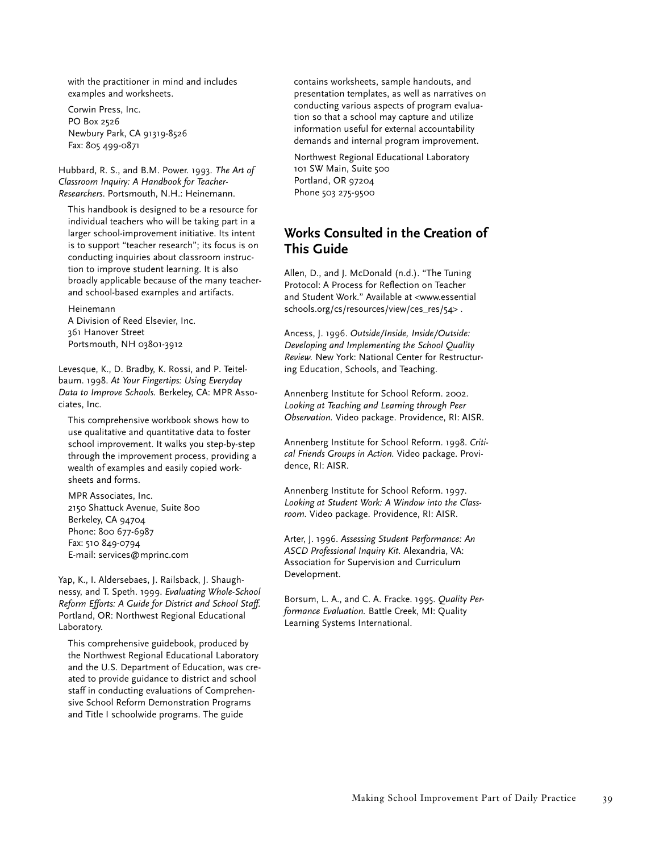with the practitioner in mind and includes examples and worksheets.

Corwin Press, Inc. PO Box 2526 Newbury Park, CA 91319-8526 Fax: 805 499-0871

Hubbard, R. S., and B.M. Power. 1993. *The Art of Classroom Inquiry: A Handbook for Teacher-Researchers*. Portsmouth, N.H.: Heinemann.

This handbook is designed to be a resource for individual teachers who will be taking part in a larger school-improvement initiative. Its intent is to support "teacher research"; its focus is on conducting inquiries about classroom instruction to improve student learning. It is also broadly applicable because of the many teacherand school-based examples and artifacts.

Heinemann A Division of Reed Elsevier, Inc. 361 Hanover Street Portsmouth, NH 03801-3912

Levesque, K., D. Bradby, K. Rossi, and P. Teitelbaum. 1998. *At Your Fingertips: Using Everyday Data to Improve Schools.* Berkeley, CA: MPR Associates, Inc.

This comprehensive workbook shows how to use qualitative and quantitative data to foster school improvement. It walks you step-by-step through the improvement process, providing a wealth of examples and easily copied worksheets and forms.

MPR Associates, Inc. 2150 Shattuck Avenue, Suite 800 Berkeley, CA 94704 Phone: 800 677-6987 Fax: 510 849-0794 E-mail: services@mprinc.com

Yap, K., I. Aldersebaes, J. Railsback, J. Shaughnessy, and T. Speth. 1999. *Evaluating Whole-School Reform Efforts: A Guide for District and School Staff.* Portland, OR: Northwest Regional Educational Laboratory.

This comprehensive guidebook, produced by the Northwest Regional Educational Laboratory and the U.S. Department of Education, was created to provide guidance to district and school staff in conducting evaluations of Comprehensive School Reform Demonstration Programs and Title I schoolwide programs. The guide

contains worksheets, sample handouts, and presentation templates, as well as narratives on conducting various aspects of program evaluation so that a school may capture and utilize information useful for external accountability demands and internal program improvement.

Northwest Regional Educational Laboratory 101 SW Main, Suite 500 Portland, OR 97204 Phone 503 275-9500

# **Works Consulted in the Creation of This Guide**

Allen, D., and J. McDonald (n.d.). "The Tuning Protocol: A Process for Reflection on Teacher and Student Work." Available at <www.essential schools.org/cs/resources/view/ces\_res/54> .

Ancess, J. 1996. *Outside/Inside, Inside/Outside: Developing and Implementing the School Quality Review.* New York: National Center for Restructuring Education, Schools, and Teaching.

Annenberg Institute for School Reform. 2002. *Looking at Teaching and Learning through Peer Observation.* Video package. Providence, RI: AISR.

Annenberg Institute for School Reform. 1998. *Critical Friends Groups in Action.* Video package. Providence, RI: AISR.

Annenberg Institute for School Reform. 1997. *Looking at Student Work: A Window into the Classroom.* Video package. Providence, RI: AISR.

Arter, J. 1996. *Assessing Student Performance: An ASCD Professional Inquiry Kit.* Alexandria, VA: Association for Supervision and Curriculum Development.

Borsum, L. A., and C. A. Fracke. 1995. *Quality Performance Evaluation.* Battle Creek, MI: Quality Learning Systems International.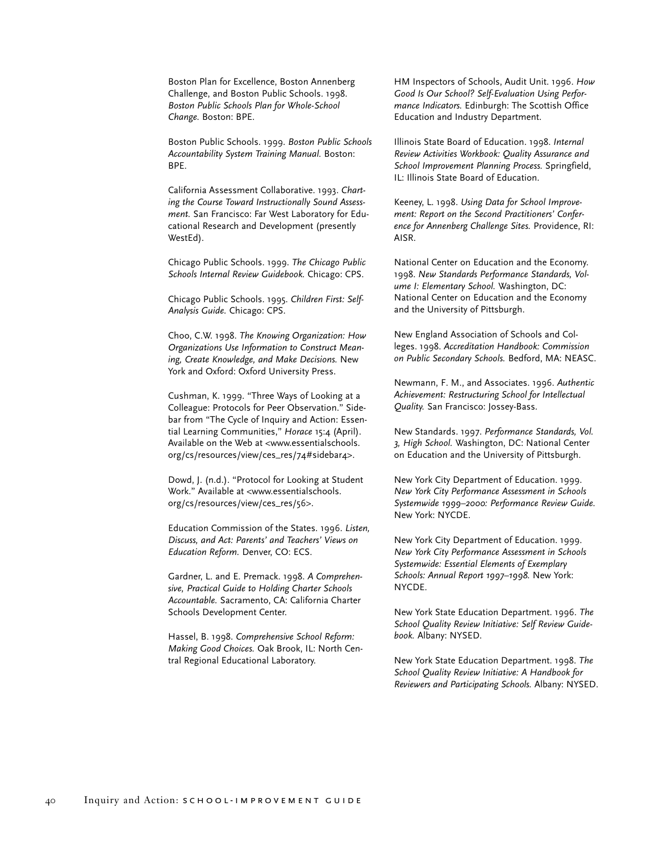Boston Plan for Excellence, Boston Annenberg Challenge, and Boston Public Schools. 1998. *Boston Public Schools Plan for Whole-School Change.* Boston: BPE.

Boston Public Schools. 1999. *Boston Public Schools Accountability System Training Manual.* Boston: BPE.

California Assessment Collaborative. 1993. *Charting the Course Toward Instructionally Sound Assessment.* San Francisco: Far West Laboratory for Educational Research and Development (presently WestEd).

Chicago Public Schools. 1999. *The Chicago Public Schools Internal Review Guidebook.* Chicago: CPS.

Chicago Public Schools. 1995. *Children First: Self-Analysis Guide.* Chicago: CPS.

Choo, C.W. 1998. *The Knowing Organization: How Organizations Use Information to Construct Meaning, Create Knowledge, and Make Decisions.* New York and Oxford: Oxford University Press.

Cushman, K. 1999. "Three Ways of Looking at a Colleague: Protocols for Peer Observation." Sidebar from "The Cycle of Inquiry and Action: Essential Learning Communities," *Horace* 15:4 (April). Available on the Web at <www.essentialschools. org/cs/resources/view/ces\_res/74#sidebar4>.

Dowd, J. (n.d.). "Protocol for Looking at Student Work." Available at <www.essentialschools. org/cs/resources/view/ces\_res/56>.

Education Commission of the States. 1996. *Listen, Discuss, and Act: Parents' and Teachers' Views on Education Reform.* Denver, CO: ECS.

Gardner, L. and E. Premack. 1998. *A Comprehensive, Practical Guide to Holding Charter Schools Accountable.* Sacramento, CA: California Charter Schools Development Center.

Hassel, B. 1998. *Comprehensive School Reform: Making Good Choices.* Oak Brook, IL: North Central Regional Educational Laboratory.

HM Inspectors of Schools, Audit Unit. 1996. *How Good Is Our School? Self-Evaluation Using Performance Indicators.* Edinburgh: The Scottish Office Education and Industry Department.

Illinois State Board of Education. 1998. *Internal Review Activities Workbook: Quality Assurance and School Improvement Planning Process.* Springfield, IL: Illinois State Board of Education.

Keeney, L. 1998. *Using Data for School Improvement: Report on the Second Practitioners' Conference for Annenberg Challenge Sites.* Providence, RI: AISR.

National Center on Education and the Economy. 1998. *New Standards Performance Standards, Volume I: Elementary School.* Washington, DC: National Center on Education and the Economy and the University of Pittsburgh.

New England Association of Schools and Colleges. 1998. *Accreditation Handbook: Commission on Public Secondary Schools.* Bedford, MA: NEASC.

Newmann, F. M., and Associates. 1996. *Authentic Achievement: Restructuring School for Intellectual Quality.* San Francisco: Jossey-Bass.

New Standards. 1997. *Performance Standards, Vol. 3, High School.* Washington, DC: National Center on Education and the University of Pittsburgh.

New York City Department of Education. 1999. *New York City Performance Assessment in Schools Systemwide 1999–2000: Performance Review Guide.* New York: NYCDE.

New York City Department of Education. 1999. *New York City Performance Assessment in Schools Systemwide: Essential Elements of Exemplary Schools: Annual Report 1997–1998.* New York: NYCDE.

New York State Education Department. 1996. *The School Quality Review Initiative: Self Review Guidebook.* Albany: NYSED.

New York State Education Department. 1998. *The School Quality Review Initiative: A Handbook for Reviewers and Participating Schools.* Albany: NYSED.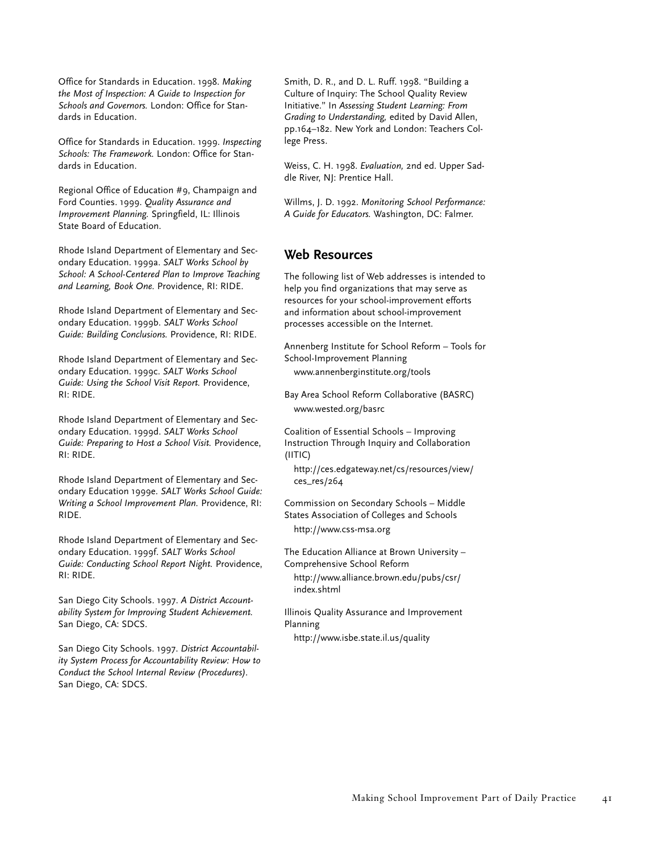Office for Standards in Education. 1998. *Making the Most of Inspection: A Guide to Inspection for Schools and Governors.* London: Office for Standards in Education.

Office for Standards in Education. 1999. *Inspecting Schools: The Framework.* London: Office for Standards in Education.

Regional Office of Education #9, Champaign and Ford Counties. 1999. *Quality Assurance and Improvement Planning.* Springfield, IL: Illinois State Board of Education.

Rhode Island Department of Elementary and Secondary Education. 1999a. *SALT Works School by School: A School-Centered Plan to Improve Teaching and Learning, Book One.* Providence, RI: RIDE.

Rhode Island Department of Elementary and Secondary Education. 1999b. *SALT Works School Guide: Building Conclusions.* Providence, RI: RIDE.

Rhode Island Department of Elementary and Secondary Education. 1999c. *SALT Works School Guide: Using the School Visit Report.* Providence, RI: RIDE.

Rhode Island Department of Elementary and Secondary Education. 1999d. *SALT Works School Guide: Preparing to Host a School Visit.* Providence, RI: RIDE.

Rhode Island Department of Elementary and Secondary Education 1999e. *SALT Works School Guide: Writing a School Improvement Plan.* Providence, RI: RIDE.

Rhode Island Department of Elementary and Secondary Education. 1999f. *SALT Works School Guide: Conducting School Report Night.* Providence, RI: RIDE.

San Diego City Schools. 1997. *A District Accountability System for Improving Student Achievement.* San Diego, CA: SDCS.

San Diego City Schools. 1997. *District Accountability System Process for Accountability Review: How to Conduct the School Internal Review (Procedures).* San Diego, CA: SDCS.

Smith, D. R., and D. L. Ruff. 1998. "Building a Culture of Inquiry: The School Quality Review Initiative." In *Assessing Student Learning: From Grading to Understanding,* edited by David Allen, pp.164–182. New York and London: Teachers College Press.

Weiss, C. H. 1998. *Evaluation,* 2nd ed. Upper Saddle River, NJ: Prentice Hall.

Willms, J. D. 1992. *Monitoring School Performance: A Guide for Educators.* Washington, DC: Falmer.

# **Web Resources**

The following list of Web addresses is intended to help you find organizations that may serve as resources for your school-improvement efforts and information about school-improvement processes accessible on the Internet.

Annenberg Institute for School Reform – Tools for School-Improvement Planning www.annenberginstitute.org/tools

Bay Area School Reform Collaborative (BASRC) www.wested.org/basrc

Coalition of Essential Schools – Improving Instruction Through Inquiry and Collaboration (IITIC)

http://ces.edgateway.net/cs/resources/view/ ces\_res/264

Commission on Secondary Schools – Middle States Association of Colleges and Schools http://www.css-msa.org

The Education Alliance at Brown University – Comprehensive School Reform

http://www.alliance.brown.edu/pubs/csr/ index.shtml

Illinois Quality Assurance and Improvement Planning

http://www.isbe.state.il.us/quality